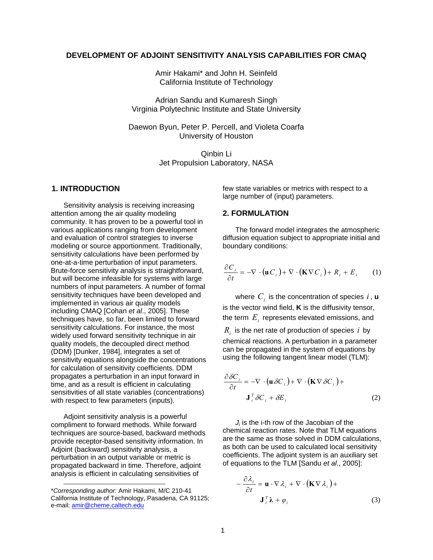# **DEVELOPMENT OF ADJOINT SENSITIVITY ANALYSIS CAPABILITIES FOR CMAQ**

Amir Hakami\* and John H. Seinfeld California Institute of Technology

Adrian Sandu and Kumaresh Singh Virginia Polytechnic Institute and State University

Daewon Byun, Peter P. Percell, and Violeta Coarfa University of Houston

> Qinbin Li Jet Propulsion Laboratory, NASA

### **1. INTRODUCTION**

Sensitivity analysis is receiving increasing attention among the air quality modeling community. It has proven to be a powerful tool in various applications ranging from development and evaluation of control strategies to inverse modeling or source apportionment. Traditionally, sensitivity calculations have been performed by one-at-a-time perturbation of input parameters. Brute-force sensitivity analysis is straightforward, but will become infeasible for systems with large numbers of input parameters. A number of formal sensitivity techniques have been developed and implemented in various air quality models including CMAQ [Cohan *et al*., 2005]. These techniques have, so far, been limited to forward sensitivity calculations. For instance, the most widely used forward sensitivity technique in air quality models, the decoupled direct method (DDM) [Dunker, 1984], integrates a set of sensitivity equations alongside the concentrations for calculation of sensitivity coefficients. DDM propagates a perturbation in an input forward in time, and as a result is efficient in calculating sensitivities of all state variables (concentrations) with respect to few parameters (inputs).

Adjoint sensitivity analysis is a powerful compliment to forward methods. While forward techniques are source-based, backward methods provide receptor-based sensitivity information. In Adjoint (backward) sensitivity analysis, a perturbation in an output variable or metric is propagated backward in time. Therefore, adjoint analysis is efficient in calculating sensitivities of

1

few state variables or metrics with respect to a large number of (input) parameters.

### **2. FORMULATION**

The forward model integrates the atmospheric diffusion equation subject to appropriate initial and boundary conditions:

$$
\frac{\partial C_i}{\partial t} = -\nabla \cdot (\mathbf{u} C_i) + \nabla \cdot (\mathbf{K} \nabla C_i) + R_i + E_i \qquad (1)
$$

where  $C_i$  is the concentration of species  $i$  ,  $\mathbf{u}$ is the vector wind field, **K** is the diffusivity tensor, the term  $E_i$  represents elevated emissions, and

 $R_i$  is the net rate of production of species  $i$  by chemical reactions. A perturbation in a parameter can be propagated in the system of equations by using the following tangent linear model (TLM):

$$
\frac{\partial \delta C_i}{\partial t} = -\nabla \cdot (\mathbf{u} \,\delta C_i) + \nabla \cdot (\mathbf{K} \nabla \,\delta C_i) + \mathbf{J}_i^T \delta C_i + \delta E_i \tag{2}
$$

*Ji* is the i-th row of the Jacobian of the chemical reaction rates. Note that TLM equations are the same as those solved in DDM calculations, as both can be used to calculated local sensitivity coefficients. The adjoint system is an auxiliary set of equations to the TLM [Sandu *et al*., 2005]:

$$
-\frac{\partial \lambda_i}{\partial t} = \mathbf{u} \cdot \nabla \lambda_i + \nabla \cdot (\mathbf{K} \nabla \lambda_i) +
$$
  

$$
\mathbf{J}_i^T \mathbf{\lambda} + \varphi_i
$$
 (3)

<sup>\*</sup>*Corresponding author:* Amir Hakami, M/C 210-41 California Institute of Technology, Pasadena, CA 91125; e-mail: [amir@cheme.caltech.edu](mailto:jeanne-eichinger@unc.edu)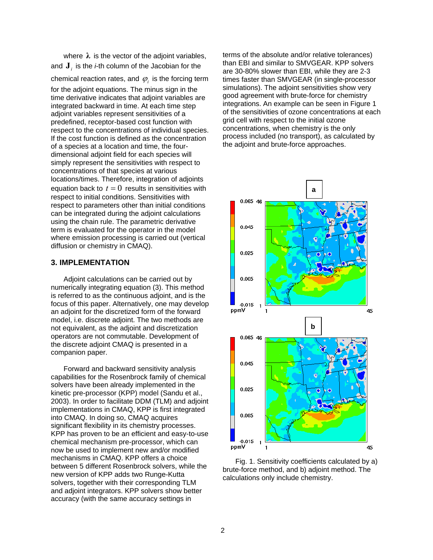where  $\lambda$  is the vector of the adjoint variables, and  $\mathbf{J}_i$  is the *i*-th column of the Jacobian for the

chemical reaction rates, and  $\,\varphi_{\!i}\,$  is the forcing term

for the adjoint equations. The minus sign in the time derivative indicates that adjoint variables are integrated backward in time. At each time step adjoint variables represent sensitivities of a predefined, receptor-based cost function with respect to the concentrations of individual species. If the cost function is defined as the concentration of a species at a location and time, the fourdimensional adjoint field for each species will simply represent the sensitivities with respect to concentrations of that species at various locations/times. Therefore, integration of adjoints equation back to  $t = 0$  results in sensitivities with respect to initial conditions. Sensitivities with respect to parameters other than initial conditions can be integrated during the adjoint calculations using the chain rule. The parametric derivative term is evaluated for the operator in the model where emission processing is carried out (vertical diffusion or chemistry in CMAQ).

# **3. IMPLEMENTATION**

Adjoint calculations can be carried out by numerically integrating equation (3). This method is referred to as the continuous adjoint, and is the focus of this paper. Alternatively, one may develop an adjoint for the discretized form of the forward model, i.e. discrete adjoint. The two methods are not equivalent, as the adjoint and discretization operators are not commutable. Development of the discrete adjoint CMAQ is presented in a companion paper.

Forward and backward sensitivity analysis capabilities for the Rosenbrock family of chemical solvers have been already implemented in the kinetic pre-processor (KPP) model (Sandu et al., 2003). In order to facilitate DDM (TLM) and adjoint implementations in CMAQ, KPP is first integrated into CMAQ. In doing so, CMAQ acquires significant flexibility in its chemistry processes. KPP has proven to be an efficient and easy-to-use chemical mechanism pre-processor, which can now be used to implement new and/or modified mechanisms in CMAQ. KPP offers a choice between 5 different Rosenbrock solvers, while the new version of KPP adds two Runge-Kutta solvers, together with their corresponding TLM and adjoint integrators. KPP solvers show better accuracy (with the same accuracy settings in

terms of the absolute and/or relative tolerances) than EBI and similar to SMVGEAR. KPP solvers are 30-80% slower than EBI, while they are 2-3 times faster than SMVGEAR (in single-processor simulations). The adjoint sensitivities show very good agreement with brute-force for chemistry integrations. An example can be seen in Figure 1 of the sensitivities of ozone concentrations at each grid cell with respect to the initial ozone concentrations, when chemistry is the only process included (no transport), as calculated by the adjoint and brute-force approaches.



Fig. 1. Sensitivity coefficients calculated by a) brute-force method, and b) adjoint method. The calculations only include chemistry.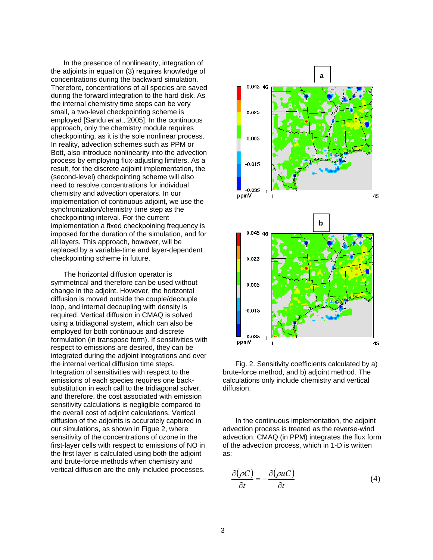In the presence of nonlinearity, integration of the adjoints in equation (3) requires knowledge of concentrations during the backward simulation. Therefore, concentrations of all species are saved during the forward integration to the hard disk. As the internal chemistry time steps can be very small, a two-level checkpointing scheme is employed [Sandu *et al*., 2005]. In the continuous approach, only the chemistry module requires checkpointing, as it is the sole nonlinear process. In reality, advection schemes such as PPM or Bott, also introduce nonlinearity into the advection process by employing flux-adjusting limiters. As a result, for the discrete adjoint implementation, the (second-level) checkpointing scheme will also need to resolve concentrations for individual chemistry and advection operators. In our implementation of continuous adjoint, we use the synchronization/chemistry time step as the checkpointing interval. For the current implementation a fixed checkpoining frequency is imposed for the duration of the simulation, and for all layers. This approach, however, will be replaced by a variable-time and layer-dependent checkpointing scheme in future.

The horizontal diffusion operator is symmetrical and therefore can be used without change in the adjoint. However, the horizontal diffusion is moved outside the couple/decouple loop, and internal decoupling with density is required. Vertical diffusion in CMAQ is solved using a tridiagonal system, which can also be employed for both continuous and discrete formulation (in transpose form). If sensitivities with respect to emissions are desired, they can be integrated during the adjoint integrations and over the internal vertical diffusion time steps. Integration of sensitivities with respect to the emissions of each species requires one backsubstitution in each call to the tridiagonal solver, and therefore, the cost associated with emission sensitivity calculations is negligible compared to the overall cost of adjoint calculations. Vertical diffusion of the adjoints is accurately captured in our simulations, as shown in Figue 2, where sensitivity of the concentrations of ozone in the first-layer cells with respect to emissions of NO in the first layer is calculated using both the adjoint and brute-force methods when chemistry and vertical diffusion are the only included processes.



Fig. 2. Sensitivity coefficients calculated by a) brute-force method, and b) adjoint method. The calculations only include chemistry and vertical diffusion.

In the continuous implementation, the adjoint advection process is treated as the reverse-wind advection. CMAQ (in PPM) integrates the flux form of the advection process, which in 1-D is written as:

$$
\frac{\partial(\rho C)}{\partial t} = -\frac{\partial(\rho u C)}{\partial t}
$$
(4)